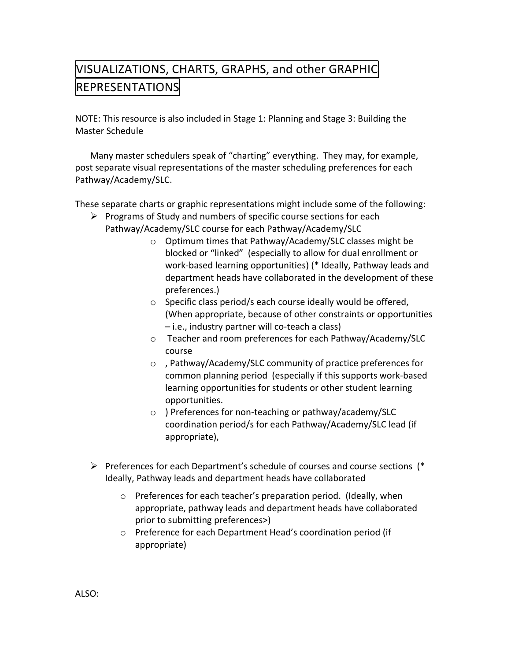## VISUALIZATIONS, CHARTS, GRAPHS, and other GRAPHIC **REPRESENTATIONS**

NOTE: This resource is also included in Stage 1: Planning and Stage 3: Building the Master Schedule

Many master schedulers speak of "charting" everything. They may, for example, post separate visual representations of the master scheduling preferences for each Pathway/Academy/SLC.

These separate charts or graphic representations might include some of the following:

- $\triangleright$  Programs of Study and numbers of specific course sections for each Pathway/Academy/SLC course for each Pathway/Academy/SLC
	- $\circ$  Optimum times that Pathway/Academy/SLC classes might be blocked or "linked" (especially to allow for dual enrollment or work-based learning opportunities) (\* Ideally, Pathway leads and department heads have collaborated in the development of these preferences.)
	- $\circ$  Specific class period/s each course ideally would be offered, (When appropriate, because of other constraints or opportunities  $-$  i.e., industry partner will co-teach a class)
	- o Teacher and room preferences for each Pathway/Academy/SLC course
	- $\circ$ , Pathway/Academy/SLC community of practice preferences for common planning period (especially if this supports work-based learning opportunities for students or other student learning opportunities.
	- $\circ$  ) Preferences for non-teaching or pathway/academy/SLC coordination period/s for each Pathway/Academy/SLC lead (if appropriate),
- Preferences for each Department's schedule of courses and course sections (\*) Ideally, Pathway leads and department heads have collaborated
	- $\circ$  Preferences for each teacher's preparation period. (Ideally, when appropriate, pathway leads and department heads have collaborated prior to submitting preferences>)
	- o Preference for each Department Head's coordination period (if appropriate),